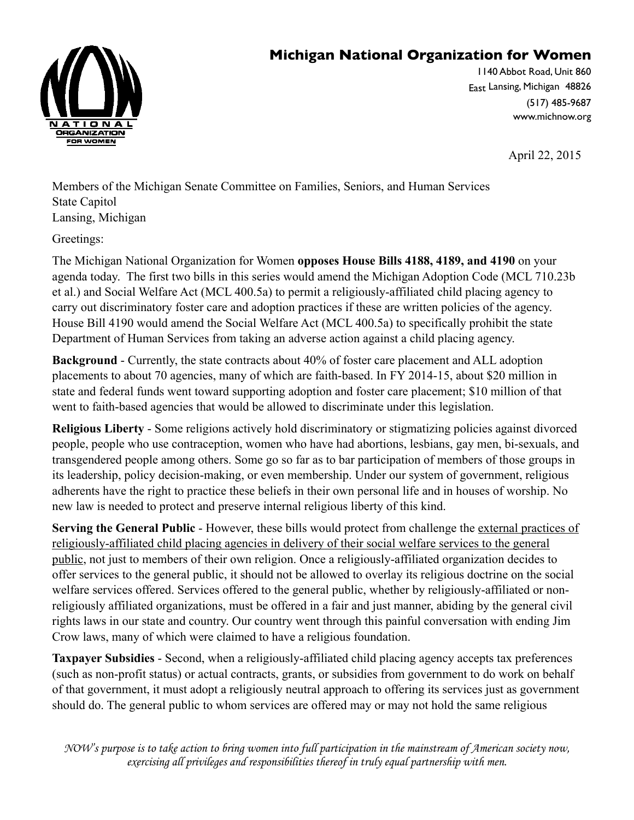## **Michigan National Organization for Women**



1140 Abbot Road, Unit 860 East Lansing, Michigan 48826 (517) 485-9687 www.michnow.org

April 22, 2015

Members of the Michigan Senate Committee on Families, Seniors, and Human Services State Capitol Lansing, Michigan

Greetings:

The Michigan National Organization for Women **opposes House Bills 4188, 4189, and 4190** on your agenda today. The first two bills in this series would amend the Michigan Adoption Code (MCL 710.23b et al.) and Social Welfare Act (MCL 400.5a) to permit a religiously-affiliated child placing agency to carry out discriminatory foster care and adoption practices if these are written policies of the agency. House Bill 4190 would amend the Social Welfare Act (MCL 400.5a) to specifically prohibit the state Department of Human Services from taking an adverse action against a child placing agency.

**Background** - Currently, the state contracts about 40% of foster care placement and ALL adoption placements to about 70 agencies, many of which are faith-based. In FY 2014-15, about \$20 million in state and federal funds went toward supporting adoption and foster care placement; \$10 million of that went to faith-based agencies that would be allowed to discriminate under this legislation.

**Religious Liberty** - Some religions actively hold discriminatory or stigmatizing policies against divorced people, people who use contraception, women who have had abortions, lesbians, gay men, bi-sexuals, and transgendered people among others. Some go so far as to bar participation of members of those groups in its leadership, policy decision-making, or even membership. Under our system of government, religious adherents have the right to practice these beliefs in their own personal life and in houses of worship. No new law is needed to protect and preserve internal religious liberty of this kind.

**Serving the General Public** - However, these bills would protect from challenge the external practices of religiously-affiliated child placing agencies in delivery of their social welfare services to the general public, not just to members of their own religion. Once a religiously-affiliated organization decides to offer services to the general public, it should not be allowed to overlay its religious doctrine on the social welfare services offered. Services offered to the general public, whether by religiously-affiliated or nonreligiously affiliated organizations, must be offered in a fair and just manner, abiding by the general civil rights laws in our state and country. Our country went through this painful conversation with ending Jim Crow laws, many of which were claimed to have a religious foundation.

**Taxpayer Subsidies** - Second, when a religiously-affiliated child placing agency accepts tax preferences (such as non-profit status) or actual contracts, grants, or subsidies from government to do work on behalf of that government, it must adopt a religiously neutral approach to offering its services just as government should do. The general public to whom services are offered may or may not hold the same religious

*NOW's purpose is to take action to bring women into full participation in the mainstream of American society now, exercising all privileges and responsibilities thereof in truly equal partnership with men.*